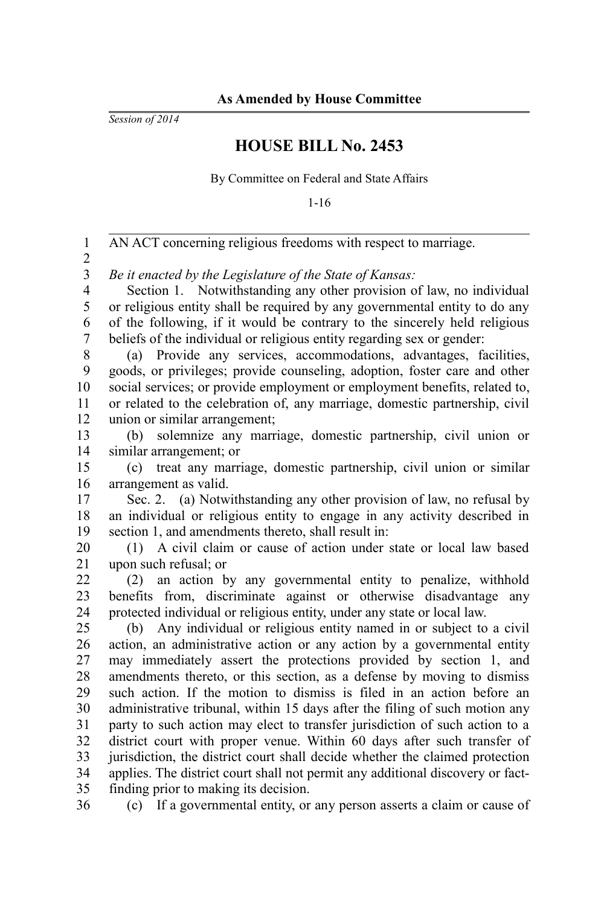*Session of 2014*

## **HOUSE BILL No. 2453**

By Committee on Federal and State Affairs

1-16

| $\mathbf{1}$   | AN ACT concerning religious freedoms with respect to marriage.                                                                                          |
|----------------|---------------------------------------------------------------------------------------------------------------------------------------------------------|
| $\overline{c}$ |                                                                                                                                                         |
| 3              | Be it enacted by the Legislature of the State of Kansas:                                                                                                |
| $\overline{4}$ | Section 1. Notwithstanding any other provision of law, no individual                                                                                    |
| 5              | or religious entity shall be required by any governmental entity to do any                                                                              |
| 6              | of the following, if it would be contrary to the sincerely held religious                                                                               |
| 7              | beliefs of the individual or religious entity regarding sex or gender:                                                                                  |
| 8              | (a) Provide any services, accommodations, advantages, facilities,                                                                                       |
| 9              | goods, or privileges; provide counseling, adoption, foster care and other                                                                               |
| 10             | social services; or provide employment or employment benefits, related to,                                                                              |
| 11             | or related to the celebration of, any marriage, domestic partnership, civil                                                                             |
| 12             | union or similar arrangement;                                                                                                                           |
| 13             | solemnize any marriage, domestic partnership, civil union or<br>(b)                                                                                     |
| 14             | similar arrangement; or                                                                                                                                 |
| 15             | treat any marriage, domestic partnership, civil union or similar<br>(c)                                                                                 |
| 16             | arrangement as valid.                                                                                                                                   |
| 17             | Sec. 2. (a) Notwithstanding any other provision of law, no refusal by                                                                                   |
| 18             | an individual or religious entity to engage in any activity described in                                                                                |
| 19             | section 1, and amendments thereto, shall result in:                                                                                                     |
| 20             | (1) A civil claim or cause of action under state or local law based                                                                                     |
| 21             | upon such refusal; or                                                                                                                                   |
| 22             | (2) an action by any governmental entity to penalize, withhold                                                                                          |
| 23             | benefits from, discriminate against or otherwise disadvantage<br>any                                                                                    |
| 24             | protected individual or religious entity, under any state or local law.                                                                                 |
| 25             | (b) Any individual or religious entity named in or subject to a civil                                                                                   |
| 26             | action, an administrative action or any action by a governmental entity                                                                                 |
| 27             | may immediately assert the protections provided by section 1, and                                                                                       |
| 28             | amendments thereto, or this section, as a defense by moving to dismiss                                                                                  |
| 29             | such action. If the motion to dismiss is filed in an action before an                                                                                   |
| 30<br>31       | administrative tribunal, within 15 days after the filing of such motion any                                                                             |
| 32             | party to such action may elect to transfer jurisdiction of such action to a                                                                             |
| 33             | district court with proper venue. Within 60 days after such transfer of<br>jurisdiction, the district court shall decide whether the claimed protection |
| 34             | applies. The district court shall not permit any additional discovery or fact-                                                                          |
| 35             | finding prior to making its decision.                                                                                                                   |
| 36             | (c) If a governmental entity, or any person asserts a claim or cause of                                                                                 |
|                |                                                                                                                                                         |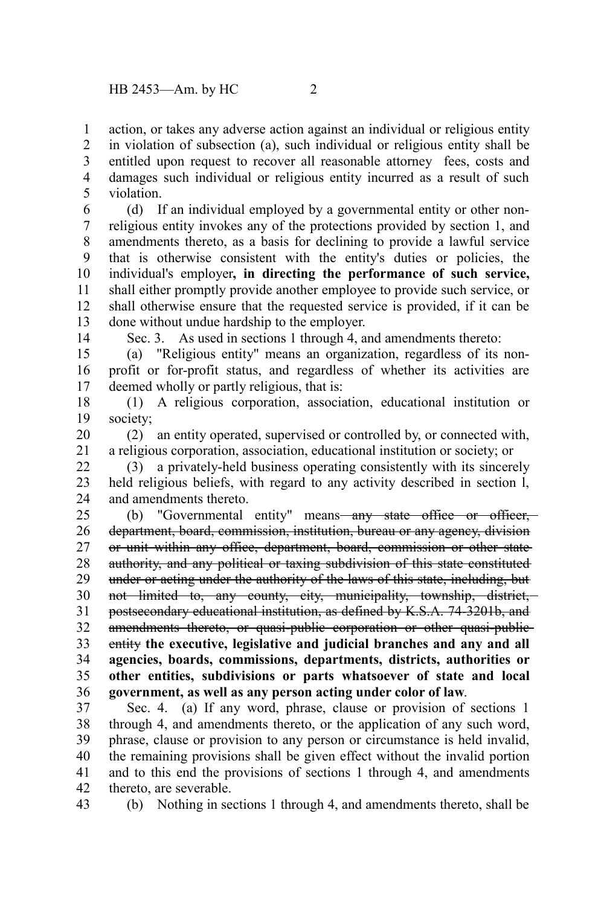action, or takes any adverse action against an individual or religious entity in violation of subsection (a), such individual or religious entity shall be entitled upon request to recover all reasonable attorney fees, costs and damages such individual or religious entity incurred as a result of such violation. 1 2 3 4 5

(d) If an individual employed by a governmental entity or other nonreligious entity invokes any of the protections provided by section 1, and amendments thereto, as a basis for declining to provide a lawful service that is otherwise consistent with the entity's duties or policies, the individual's employer**, in directing the performance of such service,** shall either promptly provide another employee to provide such service, or shall otherwise ensure that the requested service is provided, if it can be done without undue hardship to the employer. 6 7 8 9 10 11 12 13

14

Sec. 3. As used in sections 1 through 4, and amendments thereto:

(a) "Religious entity" means an organization, regardless of its nonprofit or for-profit status, and regardless of whether its activities are deemed wholly or partly religious, that is: 15 16 17

(1) A religious corporation, association, educational institution or society; 18 19

(2) an entity operated, supervised or controlled by, or connected with, a religious corporation, association, educational institution or society; or 20 21

(3) a privately-held business operating consistently with its sincerely held religious beliefs, with regard to any activity described in section l, and amendments thereto. 22 23 24

(b) "Governmental entity" means—any state office or officer, department, board, commission, institution, bureau or any agency, division or unit within any office, department, board, commission or other state authority, and any political or taxing subdivision of this state constituted under or acting under the authority of the laws of this state, including, but not limited to, any county, city, municipality, township, district, postsecondary educational institution, as defined by K.S.A. 74-3201b, and amendments thereto, or quasi-public corporation or other quasi-publicentity **the executive, legislative and judicial branches and any and all agencies, boards, commissions, departments, districts, authorities or other entities, subdivisions or parts whatsoever of state and local government, as well as any person acting under color of law**. 25 26 27 28 29 30 31 32 33 34 35 36

Sec. 4. (a) If any word, phrase, clause or provision of sections 1 through 4, and amendments thereto, or the application of any such word, phrase, clause or provision to any person or circumstance is held invalid, the remaining provisions shall be given effect without the invalid portion and to this end the provisions of sections 1 through 4, and amendments thereto, are severable. 37 38 39 40 41 42

43

(b) Nothing in sections 1 through 4, and amendments thereto, shall be